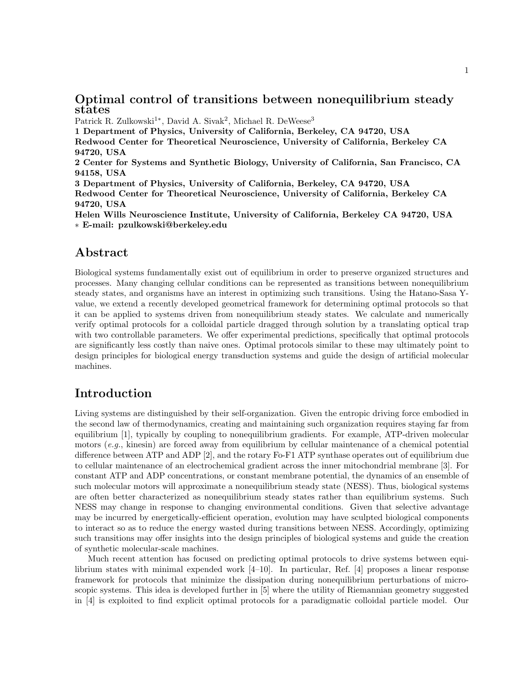## Optimal control of transitions between nonequilibrium steady states

Patrick R. Zulkowski<sup>1\*</sup>, David A. Sivak<sup>2</sup>, Michael R. DeWeese<sup>3</sup>

1 Department of Physics, University of California, Berkeley, CA 94720, USA Redwood Center for Theoretical Neuroscience, University of California, Berkeley CA 94720, USA 2 Center for Systems and Synthetic Biology, University of California, San Francisco, CA 94158, USA 3 Department of Physics, University of California, Berkeley, CA 94720, USA

Redwood Center for Theoretical Neuroscience, University of California, Berkeley CA 94720, USA

Helen Wills Neuroscience Institute, University of California, Berkeley CA 94720, USA ∗ E-mail: pzulkowski@berkeley.edu

## Abstract

Biological systems fundamentally exist out of equilibrium in order to preserve organized structures and processes. Many changing cellular conditions can be represented as transitions between nonequilibrium steady states, and organisms have an interest in optimizing such transitions. Using the Hatano-Sasa Yvalue, we extend a recently developed geometrical framework for determining optimal protocols so that it can be applied to systems driven from nonequilibrium steady states. We calculate and numerically verify optimal protocols for a colloidal particle dragged through solution by a translating optical trap with two controllable parameters. We offer experimental predictions, specifically that optimal protocols are significantly less costly than naive ones. Optimal protocols similar to these may ultimately point to design principles for biological energy transduction systems and guide the design of artificial molecular machines.

# Introduction

Living systems are distinguished by their self-organization. Given the entropic driving force embodied in the second law of thermodynamics, creating and maintaining such organization requires staying far from equilibrium [1], typically by coupling to nonequilibrium gradients. For example, ATP-driven molecular motors  $(e.g.,\$ kinesin) are forced away from equilibrium by cellular maintenance of a chemical potential difference between ATP and ADP [2], and the rotary Fo-F1 ATP synthase operates out of equilibrium due to cellular maintenance of an electrochemical gradient across the inner mitochondrial membrane [3]. For constant ATP and ADP concentrations, or constant membrane potential, the dynamics of an ensemble of such molecular motors will approximate a nonequilibrium steady state (NESS). Thus, biological systems are often better characterized as nonequilibrium steady states rather than equilibrium systems. Such NESS may change in response to changing environmental conditions. Given that selective advantage may be incurred by energetically-efficient operation, evolution may have sculpted biological components to interact so as to reduce the energy wasted during transitions between NESS. Accordingly, optimizing such transitions may offer insights into the design principles of biological systems and guide the creation of synthetic molecular-scale machines.

Much recent attention has focused on predicting optimal protocols to drive systems between equilibrium states with minimal expended work [4–10]. In particular, Ref. [4] proposes a linear response framework for protocols that minimize the dissipation during nonequilibrium perturbations of microscopic systems. This idea is developed further in [5] where the utility of Riemannian geometry suggested in [4] is exploited to find explicit optimal protocols for a paradigmatic colloidal particle model. Our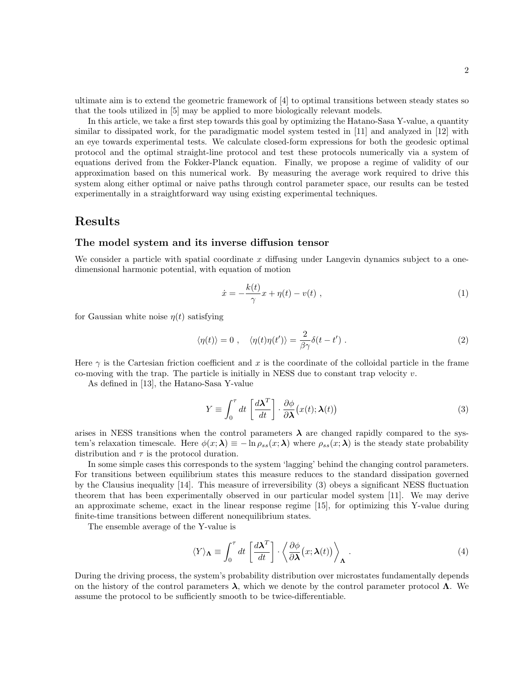ultimate aim is to extend the geometric framework of [4] to optimal transitions between steady states so that the tools utilized in [5] may be applied to more biologically relevant models.

In this article, we take a first step towards this goal by optimizing the Hatano-Sasa Y-value, a quantity similar to dissipated work, for the paradigmatic model system tested in [11] and analyzed in [12] with an eye towards experimental tests. We calculate closed-form expressions for both the geodesic optimal protocol and the optimal straight-line protocol and test these protocols numerically via a system of equations derived from the Fokker-Planck equation. Finally, we propose a regime of validity of our approximation based on this numerical work. By measuring the average work required to drive this system along either optimal or naive paths through control parameter space, our results can be tested experimentally in a straightforward way using existing experimental techniques.

### Results

#### The model system and its inverse diffusion tensor

We consider a particle with spatial coordinate  $x$  diffusing under Langevin dynamics subject to a onedimensional harmonic potential, with equation of motion

$$
\dot{x} = -\frac{k(t)}{\gamma}x + \eta(t) - v(t) , \qquad (1)
$$

for Gaussian white noise  $\eta(t)$  satisfying

$$
\langle \eta(t) \rangle = 0 \;, \quad \langle \eta(t) \eta(t') \rangle = \frac{2}{\beta \gamma} \delta(t - t') \; . \tag{2}
$$

Here  $\gamma$  is the Cartesian friction coefficient and x is the coordinate of the colloidal particle in the frame co-moving with the trap. The particle is initially in NESS due to constant trap velocity  $v$ .

As defined in [13], the Hatano-Sasa Y-value

$$
Y \equiv \int_0^\tau dt \left[ \frac{d\boldsymbol{\lambda}^T}{dt} \right] \cdot \frac{\partial \phi}{\partial \boldsymbol{\lambda}} (x(t); \boldsymbol{\lambda}(t)) \tag{3}
$$

arises in NESS transitions when the control parameters  $\lambda$  are changed rapidly compared to the system's relaxation timescale. Here  $\phi(x;\lambda) \equiv -\ln \rho_{ss}(x;\lambda)$  where  $\rho_{ss}(x;\lambda)$  is the steady state probability distribution and  $\tau$  is the protocol duration.

In some simple cases this corresponds to the system 'lagging' behind the changing control parameters. For transitions between equilibrium states this measure reduces to the standard dissipation governed by the Clausius inequality [14]. This measure of irreversibility (3) obeys a significant NESS fluctuation theorem that has been experimentally observed in our particular model system [11]. We may derive an approximate scheme, exact in the linear response regime [15], for optimizing this Y-value during finite-time transitions between different nonequilibrium states.

The ensemble average of the Y-value is

$$
\langle Y \rangle_{\mathbf{\Lambda}} \equiv \int_0^{\tau} dt \left[ \frac{d\mathbf{\lambda}^T}{dt} \right] \cdot \left\langle \frac{\partial \phi}{\partial \mathbf{\lambda}} (x; \mathbf{\lambda}(t)) \right\rangle_{\mathbf{\Lambda}} . \tag{4}
$$

During the driving process, the system's probability distribution over microstates fundamentally depends on the history of the control parameters  $\lambda$ , which we denote by the control parameter protocol  $\Lambda$ . We assume the protocol to be sufficiently smooth to be twice-differentiable.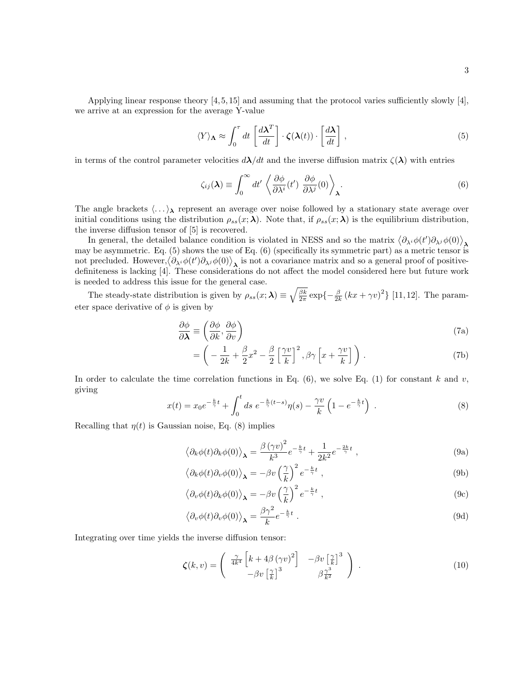Applying linear response theory  $[4, 5, 15]$  and assuming that the protocol varies sufficiently slowly  $[4]$ , we arrive at an expression for the average Y-value

$$
\langle Y \rangle_{\mathbf{\Lambda}} \approx \int_0^{\tau} dt \left[ \frac{d\mathbf{\lambda}^T}{dt} \right] \cdot \zeta(\mathbf{\lambda}(t)) \cdot \left[ \frac{d\mathbf{\lambda}}{dt} \right], \tag{5}
$$

in terms of the control parameter velocities  $d\lambda/dt$  and the inverse diffusion matrix  $\zeta(\lambda)$  with entries

$$
\zeta_{ij}(\lambda) \equiv \int_0^\infty dt' \left\langle \frac{\partial \phi}{\partial \lambda^i}(t') \frac{\partial \phi}{\partial \lambda^j}(0) \right\rangle_{\lambda}.
$$
 (6)

The angle brackets  $\langle \ldots \rangle_{\lambda}$  represent an average over noise followed by a stationary state average over initial conditions using the distribution  $\rho_{ss}(x;\lambda)$ . Note that, if  $\rho_{ss}(x;\lambda)$  is the equilibrium distribution, the inverse diffusion tensor of [5] is recovered.

In general, the detailed balance condition is violated in NESS and so the matrix  $\langle \partial_{\lambda^i} \phi(t') \partial_{\lambda^j} \phi(0) \rangle_{\mathbf{\lambda}}$ may be asymmetric. Eq. (5) shows the use of Eq. (6) (specifically its symmetric part) as a metric tensor is not precluded. However,  $\langle \partial_{\lambda^i} \phi(t') \partial_{\lambda^j} \phi(0) \rangle$ , is not a covariance matrix and so a general proof of positivedefiniteness is lacking [4]. These considerations do not affect the model considered here but future work is needed to address this issue for the general case.

The steady-state distribution is given by  $\rho_{ss}(x;\boldsymbol{\lambda}) \equiv \sqrt{\frac{\beta k}{2\pi}} \exp\{-\frac{\beta}{2k} (kx + \gamma v)^2\}$  [11, 12]. The parameter space derivative of  $\phi$  is given by

$$
\frac{\partial \phi}{\partial \lambda} \equiv \left( \frac{\partial \phi}{\partial k}, \frac{\partial \phi}{\partial v} \right) \tag{7a}
$$

$$
= \left( -\frac{1}{2k} + \frac{\beta}{2}x^2 - \frac{\beta}{2} \left[ \frac{\gamma v}{k} \right]^2, \beta \gamma \left[ x + \frac{\gamma v}{k} \right] \right). \tag{7b}
$$

In order to calculate the time correlation functions in Eq.  $(6)$ , we solve Eq.  $(1)$  for constant k and v, giving

$$
x(t) = x_0 e^{-\frac{k}{\gamma}t} + \int_0^t ds \ e^{-\frac{k}{\gamma}(t-s)} \eta(s) - \frac{\gamma v}{k} \left( 1 - e^{-\frac{k}{\gamma}t} \right) \ . \tag{8}
$$

Recalling that  $\eta(t)$  is Gaussian noise, Eq. (8) implies

$$
\langle \partial_k \phi(t) \partial_k \phi(0) \rangle_{\mathbf{\lambda}} = \frac{\beta (\gamma v)^2}{k^3} e^{-\frac{k}{\gamma}t} + \frac{1}{2k^2} e^{-\frac{2k}{\gamma}t} , \qquad (9a)
$$

$$
\langle \partial_k \phi(t) \partial_v \phi(0) \rangle_{\mathbf{\lambda}} = -\beta v \left(\frac{\gamma}{k}\right)^2 e^{-\frac{k}{\gamma}t} , \qquad (9b)
$$

$$
\langle \partial_v \phi(t) \partial_k \phi(0) \rangle_{\mathbf{\lambda}} = -\beta v \left(\frac{\gamma}{k}\right)^2 e^{-\frac{k}{\gamma}t} , \qquad (9c)
$$

$$
\langle \partial_v \phi(t) \partial_v \phi(0) \rangle_{\mathbf{\lambda}} = \frac{\beta \gamma^2}{k} e^{-\frac{k}{\gamma}t} . \tag{9d}
$$

Integrating over time yields the inverse diffusion tensor:

$$
\zeta(k,v) = \begin{pmatrix} \frac{\gamma}{4k^4} \left[ k + 4\beta \left( \gamma v \right)^2 \right] & -\beta v \left[ \frac{\gamma}{k} \right]^3 \\ -\beta v \left[ \frac{\gamma}{k} \right]^3 & \beta \frac{\gamma^3}{k^2} \end{pmatrix} . \tag{10}
$$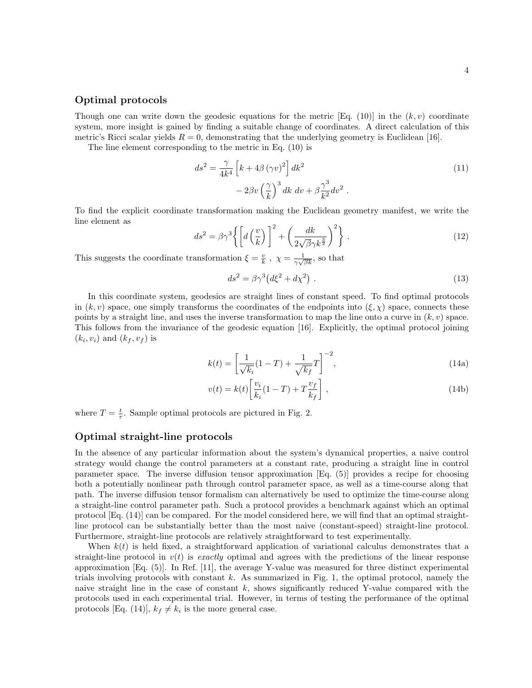#### Optimal protocols

Though one can write down the geodesic equations for the metric [Eq. (10)] in the  $(k, v)$  coordinate system, more insight is gained by finding a suitable change of coordinates. A direct calculation of this metric's Ricci scalar yields  $R = 0$ , demonstrating that the underlying geometry is Euclidean [16].

The line element corresponding to the metric in Eq. (10) is

$$
ds^{2} = \frac{\gamma}{4k^{4}} \left[ k + 4\beta \left( \gamma v \right)^{2} \right] dk^{2}
$$
  

$$
- 2\beta v \left( \frac{\gamma}{k} \right)^{3} dk dv + \beta \frac{\gamma^{3}}{k^{2}} dv^{2} .
$$
 (11)

To find the explicit coordinate transformation making the Euclidean geometry manifest, we write the line element as

$$
ds^{2} = \beta \gamma^{3} \left\{ \left[ d \left( \frac{v}{k} \right) \right]^{2} + \left( \frac{dk}{2\sqrt{\beta} \gamma k^{\frac{3}{2}}} \right)^{2} \right\} . \tag{12}
$$

This suggests the coordinate transformation  $\xi = \frac{v}{k}$ ,  $\chi = \frac{1}{\gamma \sqrt{\beta k}}$ , so that

$$
ds^2 = \beta \gamma^3 \left( d\xi^2 + d\chi^2 \right) \,. \tag{13}
$$

In this coordinate system, geodesics are straight lines of constant speed. To find optimal protocols in  $(k, v)$  space, one simply transforms the coordinates of the endpoints into  $(\xi, \chi)$  space, connects these points by a straight line, and uses the inverse transformation to map the line onto a curve in  $(k, v)$  space. This follows from the invariance of the geodesic equation [16]. Explicitly, the optimal protocol joining  $(k_i, v_i)$  and  $(k_f, v_f)$  is

$$
k(t) = \left[\frac{1}{\sqrt{k_i}}(1-T) + \frac{1}{\sqrt{k_f}}T\right]^{-2},
$$
\n(14a)

$$
v(t) = k(t) \left[ \frac{v_i}{k_i} (1 - T) + T \frac{v_f}{k_f} \right],
$$
\n(14b)

where  $T = \frac{t}{\tau}$ . Sample optimal protocols are pictured in Fig. 2.

#### Optimal straight-line protocols

In the absence of any particular information about the system's dynamical properties, a naive control strategy would change the control parameters at a constant rate, producing a straight line in control parameter space. The inverse diffusion tensor approximation [Eq. (5)] provides a recipe for choosing both a potentially nonlinear path through control parameter space, as well as a time-course along that path. The inverse diffusion tensor formalism can alternatively be used to optimize the time-course along a straight-line control parameter path. Such a protocol provides a benchmark against which an optimal protocol [Eq. (14)] can be compared. For the model considered here, we will find that an optimal straightline protocol can be substantially better than the most naive (constant-speed) straight-line protocol. Furthermore, straight-line protocols are relatively straightforward to test experimentally.

When  $k(t)$  is held fixed, a straightforward application of variational calculus demonstrates that a straight-line protocol in  $v(t)$  is exactly optimal and agrees with the predictions of the linear response approximation [Eq. (5)]. In Ref. [11], the average Y-value was measured for three distinct experimental trials involving protocols with constant  $k$ . As summarized in Fig. 1, the optimal protocol, namely the naive straight line in the case of constant  $k$ , shows significantly reduced Y-value compared with the protocols used in each experimental trial. However, in terms of testing the performance of the optimal protocols [Eq. (14)],  $k_f \neq k_i$  is the more general case.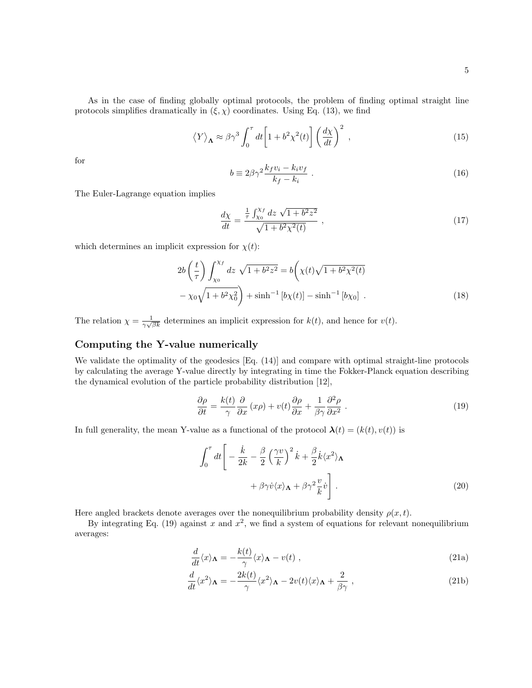As in the case of finding globally optimal protocols, the problem of finding optimal straight line protocols simplifies dramatically in  $(\xi, \chi)$  coordinates. Using Eq. (13), we find

$$
\langle Y \rangle_{\Lambda} \approx \beta \gamma^3 \int_0^{\tau} dt \left[ 1 + b^2 \chi^2(t) \right] \left( \frac{d\chi}{dt} \right)^2 , \qquad (15)
$$

for

$$
b \equiv 2\beta\gamma^2 \frac{k_f v_i - k_i v_f}{k_f - k_i} \tag{16}
$$

The Euler-Lagrange equation implies

$$
\frac{d\chi}{dt} = \frac{\frac{1}{\tau} \int_{\chi_0}^{\chi_f} dz \sqrt{1 + b^2 z^2}}{\sqrt{1 + b^2 \chi^2(t)}} ,
$$
\n(17)

which determines an implicit expression for  $\chi(t)$ :

$$
2b\left(\frac{t}{\tau}\right)\int_{\chi_0}^{\chi_f} dz \sqrt{1+b^2z^2} = b\left(\chi(t)\sqrt{1+b^2\chi^2(t)} - \chi_0\sqrt{1+b^2\chi_0^2}\right) + \sinh^{-1}\left[b\chi(t)\right] - \sinh^{-1}\left[b\chi_0\right] \,. \tag{18}
$$

The relation  $\chi = \frac{1}{\gamma \sqrt{\beta k}}$  determines an implicit expression for  $k(t)$ , and hence for  $v(t)$ .

### Computing the Y-value numerically

We validate the optimality of the geodesics [Eq. (14)] and compare with optimal straight-line protocols by calculating the average Y-value directly by integrating in time the Fokker-Planck equation describing the dynamical evolution of the particle probability distribution [12],

$$
\frac{\partial \rho}{\partial t} = \frac{k(t)}{\gamma} \frac{\partial}{\partial x} (x\rho) + v(t) \frac{\partial \rho}{\partial x} + \frac{1}{\beta \gamma} \frac{\partial^2 \rho}{\partial x^2} . \tag{19}
$$

In full generality, the mean Y-value as a functional of the protocol  $\lambda(t) = (k(t), v(t))$  is

$$
\int_0^{\tau} dt \left[ -\frac{\dot{k}}{2k} - \frac{\beta}{2} \left( \frac{\gamma v}{k} \right)^2 \dot{k} + \frac{\beta}{2} \dot{k} \langle x^2 \rangle_{\Lambda} + \beta \gamma \dot{v} \langle x \rangle_{\Lambda} + \beta \gamma^2 \frac{v}{k} \dot{v} \right].
$$
\n(20)

Here angled brackets denote averages over the nonequilibrium probability density  $\rho(x, t)$ .

By integrating Eq. (19) against x and  $x^2$ , we find a system of equations for relevant nonequilibrium averages:

$$
\frac{d}{dt}\langle x\rangle_{\mathbf{\Lambda}} = -\frac{k(t)}{\gamma}\langle x\rangle_{\mathbf{\Lambda}} - v(t) ,
$$
\n(21a)

$$
\frac{d}{dt}\langle x^2 \rangle_{\mathbf{\Lambda}} = -\frac{2k(t)}{\gamma} \langle x^2 \rangle_{\mathbf{\Lambda}} - 2v(t) \langle x \rangle_{\mathbf{\Lambda}} + \frac{2}{\beta \gamma} , \qquad (21b)
$$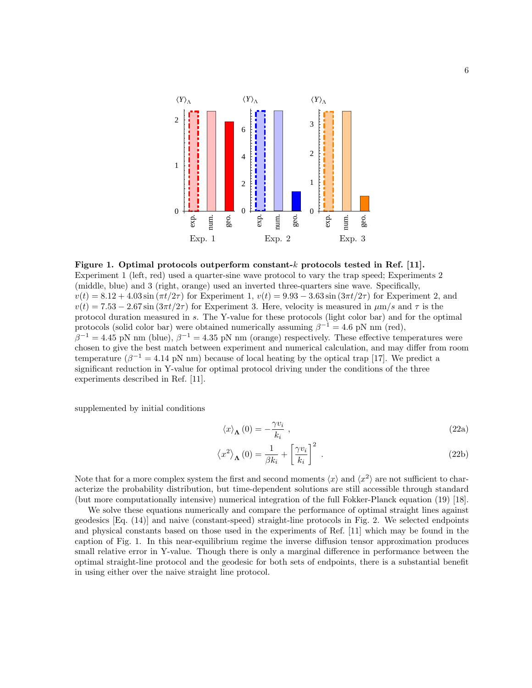

Figure 1. Optimal protocols outperform constant-k protocols tested in Ref. [11]. Experiment 1 (left, red) used a quarter-sine wave protocol to vary the trap speed; Experiments 2 (middle, blue) and 3 (right, orange) used an inverted three-quarters sine wave. Specifically,  $v(t) = 8.12 + 4.03 \sin(\pi t/2\tau)$  for Experiment 1,  $v(t) = 9.93 - 3.63 \sin(3\pi t/2\tau)$  for Experiment 2, and  $v(t) = 7.53 - 2.67 \sin(3\pi t/2\tau)$  for Experiment 3. Here, velocity is measured in  $\mu$ m/s and  $\tau$  is the protocol duration measured in s. The Y-value for these protocols (light color bar) and for the optimal protocols (solid color bar) were obtained numerically assuming  $\beta^{-1} = 4.6$  pN nm (red),  $\beta^{-1} = 4.45$  pN nm (blue),  $\beta^{-1} = 4.35$  pN nm (orange) respectively. These effective temperatures were chosen to give the best match between experiment and numerical calculation, and may differ from room temperature ( $\beta^{-1} = 4.14$  pN nm) because of local heating by the optical trap [17]. We predict a significant reduction in Y-value for optimal protocol driving under the conditions of the three experiments described in Ref. [11].

supplemented by initial conditions

$$
\langle x \rangle_{\mathbf{\Lambda}}(0) = -\frac{\gamma v_i}{k_i} \;, \tag{22a}
$$

$$
\left\langle x^{2}\right\rangle_{\mathbf{\Lambda}}(0) = \frac{1}{\beta k_{i}} + \left[\frac{\gamma v_{i}}{k_{i}}\right]^{2}.
$$
 (22b)

Note that for a more complex system the first and second moments  $\langle x \rangle$  and  $\langle x^2 \rangle$  are not sufficient to characterize the probability distribution, but time-dependent solutions are still accessible through standard (but more computationally intensive) numerical integration of the full Fokker-Planck equation (19) [18].

We solve these equations numerically and compare the performance of optimal straight lines against geodesics [Eq. (14)] and naive (constant-speed) straight-line protocols in Fig. 2. We selected endpoints and physical constants based on those used in the experiments of Ref. [11] which may be found in the caption of Fig. 1. In this near-equilibrium regime the inverse diffusion tensor approximation produces small relative error in Y-value. Though there is only a marginal difference in performance between the optimal straight-line protocol and the geodesic for both sets of endpoints, there is a substantial benefit in using either over the naive straight line protocol.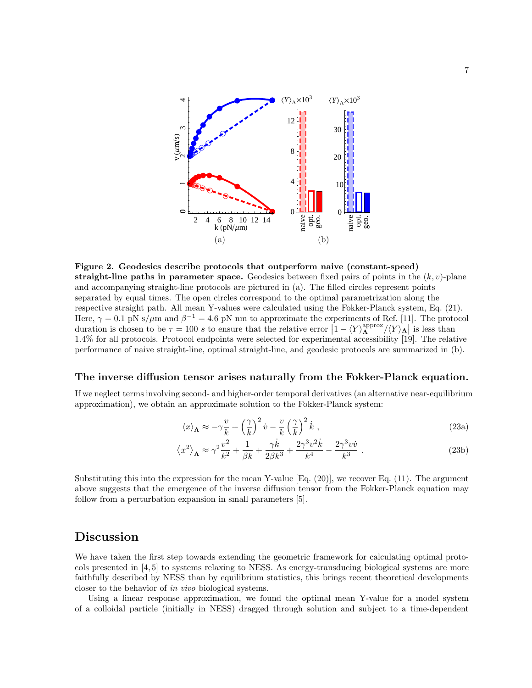

Figure 2. Geodesics describe protocols that outperform naive (constant-speed) straight-line paths in parameter space. Geodesics between fixed pairs of points in the  $(k, v)$ -plane and accompanying straight-line protocols are pictured in (a). The filled circles represent points separated by equal times. The open circles correspond to the optimal parametrization along the respective straight path. All mean Y-values were calculated using the Fokker-Planck system, Eq. (21). Here,  $\gamma = 0.1$  pN s/ $\mu$ m and  $\beta^{-1} = 4.6$  pN nm to approximate the experiments of Ref. [11]. The protocol duration is chosen to be  $\tau = 100 s$  to ensure that the relative error  $\left[1 - \langle Y \rangle^{\text{approx}}_{\Lambda} / \langle Y \rangle_{\Lambda} \right]$  is less than 1.4% for all protocols. Protocol endpoints were selected for experimental accessibility [19]. The relative performance of naive straight-line, optimal straight-line, and geodesic protocols are summarized in (b).

#### The inverse diffusion tensor arises naturally from the Fokker-Planck equation.

If we neglect terms involving second- and higher-order temporal derivatives (an alternative near-equilibrium approximation), we obtain an approximate solution to the Fokker-Planck system:

$$
\langle x \rangle_{\Lambda} \approx -\gamma \frac{v}{k} + \left(\frac{\gamma}{k}\right)^2 \dot{v} - \frac{v}{k} \left(\frac{\gamma}{k}\right)^2 \dot{k} , \qquad (23a)
$$

$$
\langle x^2 \rangle_{\Lambda} \approx \gamma^2 \frac{v^2}{k^2} + \frac{1}{\beta k} + \frac{\gamma \dot{k}}{2\beta k^3} + \frac{2\gamma^3 v^2 \dot{k}}{k^4} - \frac{2\gamma^3 v \dot{v}}{k^3} \,. \tag{23b}
$$

Substituting this into the expression for the mean Y-value  $[Eq. (20)]$ , we recover Eq. (11). The argument above suggests that the emergence of the inverse diffusion tensor from the Fokker-Planck equation may follow from a perturbation expansion in small parameters [5].

### Discussion

We have taken the first step towards extending the geometric framework for calculating optimal protocols presented in [4, 5] to systems relaxing to NESS. As energy-transducing biological systems are more faithfully described by NESS than by equilibrium statistics, this brings recent theoretical developments closer to the behavior of in vivo biological systems.

Using a linear response approximation, we found the optimal mean Y-value for a model system of a colloidal particle (initially in NESS) dragged through solution and subject to a time-dependent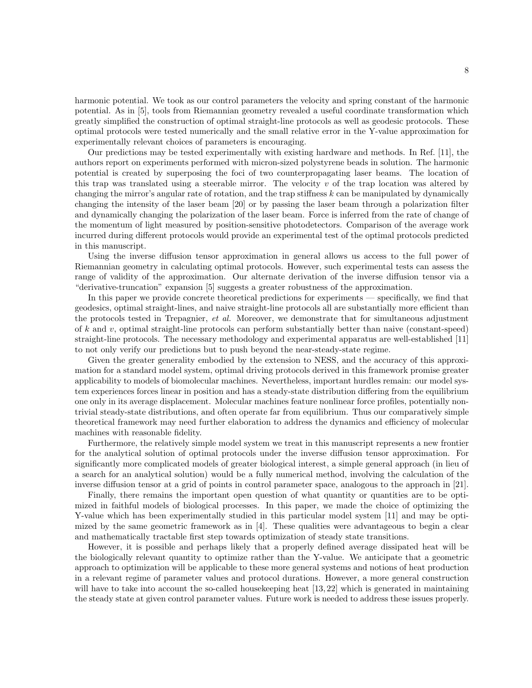harmonic potential. We took as our control parameters the velocity and spring constant of the harmonic potential. As in [5], tools from Riemannian geometry revealed a useful coordinate transformation which greatly simplified the construction of optimal straight-line protocols as well as geodesic protocols. These optimal protocols were tested numerically and the small relative error in the Y-value approximation for experimentally relevant choices of parameters is encouraging.

Our predictions may be tested experimentally with existing hardware and methods. In Ref. [11], the authors report on experiments performed with micron-sized polystyrene beads in solution. The harmonic potential is created by superposing the foci of two counterpropagating laser beams. The location of this trap was translated using a steerable mirror. The velocity  $v$  of the trap location was altered by changing the mirror's angular rate of rotation, and the trap stiffness  $k$  can be manipulated by dynamically changing the intensity of the laser beam [20] or by passing the laser beam through a polarization filter and dynamically changing the polarization of the laser beam. Force is inferred from the rate of change of the momentum of light measured by position-sensitive photodetectors. Comparison of the average work incurred during different protocols would provide an experimental test of the optimal protocols predicted in this manuscript.

Using the inverse diffusion tensor approximation in general allows us access to the full power of Riemannian geometry in calculating optimal protocols. However, such experimental tests can assess the range of validity of the approximation. Our alternate derivation of the inverse diffusion tensor via a "derivative-truncation" expansion [5] suggests a greater robustness of the approximation.

In this paper we provide concrete theoretical predictions for experiments — specifically, we find that geodesics, optimal straight-lines, and naive straight-line protocols all are substantially more efficient than the protocols tested in Trepagnier, et al. Moreover, we demonstrate that for simultaneous adjustment of  $k$  and  $v$ , optimal straight-line protocols can perform substantially better than naive (constant-speed) straight-line protocols. The necessary methodology and experimental apparatus are well-established [11] to not only verify our predictions but to push beyond the near-steady-state regime.

Given the greater generality embodied by the extension to NESS, and the accuracy of this approximation for a standard model system, optimal driving protocols derived in this framework promise greater applicability to models of biomolecular machines. Nevertheless, important hurdles remain: our model system experiences forces linear in position and has a steady-state distribution differing from the equilibrium one only in its average displacement. Molecular machines feature nonlinear force profiles, potentially nontrivial steady-state distributions, and often operate far from equilibrium. Thus our comparatively simple theoretical framework may need further elaboration to address the dynamics and efficiency of molecular machines with reasonable fidelity.

Furthermore, the relatively simple model system we treat in this manuscript represents a new frontier for the analytical solution of optimal protocols under the inverse diffusion tensor approximation. For significantly more complicated models of greater biological interest, a simple general approach (in lieu of a search for an analytical solution) would be a fully numerical method, involving the calculation of the inverse diffusion tensor at a grid of points in control parameter space, analogous to the approach in [21].

Finally, there remains the important open question of what quantity or quantities are to be optimized in faithful models of biological processes. In this paper, we made the choice of optimizing the Y-value which has been experimentally studied in this particular model system [11] and may be optimized by the same geometric framework as in [4]. These qualities were advantageous to begin a clear and mathematically tractable first step towards optimization of steady state transitions.

However, it is possible and perhaps likely that a properly defined average dissipated heat will be the biologically relevant quantity to optimize rather than the Y-value. We anticipate that a geometric approach to optimization will be applicable to these more general systems and notions of heat production in a relevant regime of parameter values and protocol durations. However, a more general construction will have to take into account the so-called housekeeping heat [13, 22] which is generated in maintaining the steady state at given control parameter values. Future work is needed to address these issues properly.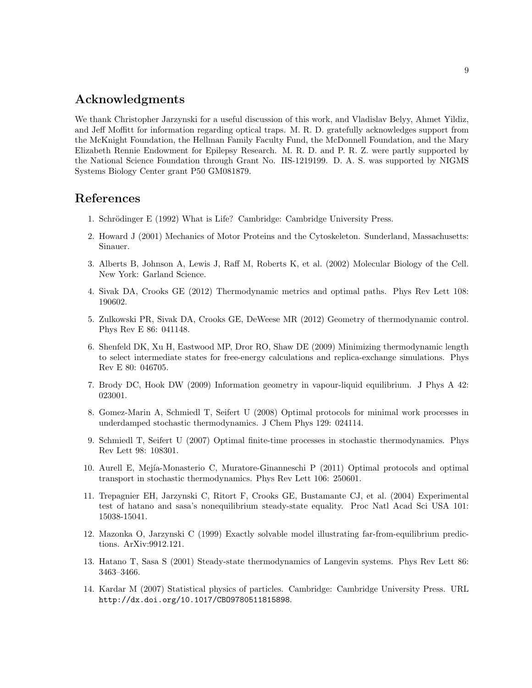# Acknowledgments

We thank Christopher Jarzynski for a useful discussion of this work, and Vladislav Belyy, Ahmet Yildiz, and Jeff Moffitt for information regarding optical traps. M. R. D. gratefully acknowledges support from the McKnight Foundation, the Hellman Family Faculty Fund, the McDonnell Foundation, and the Mary Elizabeth Rennie Endowment for Epilepsy Research. M. R. D. and P. R. Z. were partly supported by the National Science Foundation through Grant No. IIS-1219199. D. A. S. was supported by NIGMS Systems Biology Center grant P50 GM081879.

## References

- 1. Schrödinger E (1992) What is Life? Cambridge: Cambridge University Press.
- 2. Howard J (2001) Mechanics of Motor Proteins and the Cytoskeleton. Sunderland, Massachusetts: Sinauer.
- 3. Alberts B, Johnson A, Lewis J, Raff M, Roberts K, et al. (2002) Molecular Biology of the Cell. New York: Garland Science.
- 4. Sivak DA, Crooks GE (2012) Thermodynamic metrics and optimal paths. Phys Rev Lett 108: 190602.
- 5. Zulkowski PR, Sivak DA, Crooks GE, DeWeese MR (2012) Geometry of thermodynamic control. Phys Rev E 86: 041148.
- 6. Shenfeld DK, Xu H, Eastwood MP, Dror RO, Shaw DE (2009) Minimizing thermodynamic length to select intermediate states for free-energy calculations and replica-exchange simulations. Phys Rev E 80: 046705.
- 7. Brody DC, Hook DW (2009) Information geometry in vapour-liquid equilibrium. J Phys A 42: 023001.
- 8. Gomez-Marin A, Schmiedl T, Seifert U (2008) Optimal protocols for minimal work processes in underdamped stochastic thermodynamics. J Chem Phys 129: 024114.
- 9. Schmiedl T, Seifert U (2007) Optimal finite-time processes in stochastic thermodynamics. Phys Rev Lett 98: 108301.
- 10. Aurell E, Mej´ıa-Monasterio C, Muratore-Ginanneschi P (2011) Optimal protocols and optimal transport in stochastic thermodynamics. Phys Rev Lett 106: 250601.
- 11. Trepagnier EH, Jarzynski C, Ritort F, Crooks GE, Bustamante CJ, et al. (2004) Experimental test of hatano and sasa's nonequilibrium steady-state equality. Proc Natl Acad Sci USA 101: 15038-15041.
- 12. Mazonka O, Jarzynski C (1999) Exactly solvable model illustrating far-from-equilibrium predictions. ArXiv:9912.121.
- 13. Hatano T, Sasa S (2001) Steady-state thermodynamics of Langevin systems. Phys Rev Lett 86: 3463–3466.
- 14. Kardar M (2007) Statistical physics of particles. Cambridge: Cambridge University Press. URL http://dx.doi.org/10.1017/CBO9780511815898.